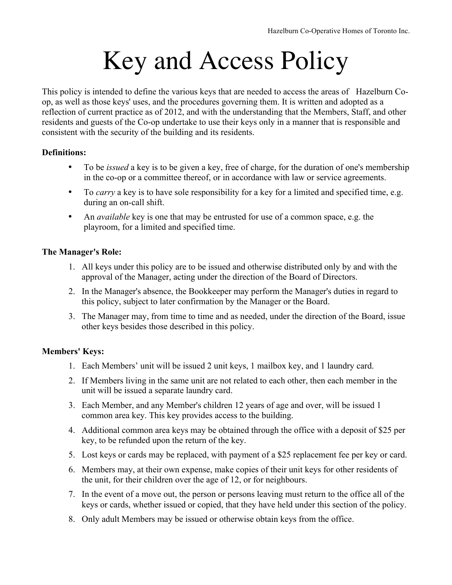# Key and Access Policy

This policy is intended to define the various keys that are needed to access the areas of Hazelburn Coop, as well as those keys' uses, and the procedures governing them. It is written and adopted as a reflection of current practice as of 2012, and with the understanding that the Members, Staff, and other residents and guests of the Co-op undertake to use their keys only in a manner that is responsible and consistent with the security of the building and its residents.

## **Definitions:**

- To be *issued* a key is to be given a key, free of charge, for the duration of one's membership in the co-op or a committee thereof, or in accordance with law or service agreements.
- To *carry* a key is to have sole responsibility for a key for a limited and specified time, e.g. during an on-call shift.
- An *available* key is one that may be entrusted for use of a common space, e.g. the playroom, for a limited and specified time.

## **The Manager's Role:**

- 1. All keys under this policy are to be issued and otherwise distributed only by and with the approval of the Manager, acting under the direction of the Board of Directors.
- 2. In the Manager's absence, the Bookkeeper may perform the Manager's duties in regard to this policy, subject to later confirmation by the Manager or the Board.
- 3. The Manager may, from time to time and as needed, under the direction of the Board, issue other keys besides those described in this policy.

## **Members' Keys:**

- 1. Each Members' unit will be issued 2 unit keys, 1 mailbox key, and 1 laundry card.
- 2. If Members living in the same unit are not related to each other, then each member in the unit will be issued a separate laundry card.
- 3. Each Member, and any Member's children 12 years of age and over, will be issued 1 common area key. This key provides access to the building.
- 4. Additional common area keys may be obtained through the office with a deposit of \$25 per key, to be refunded upon the return of the key.
- 5. Lost keys or cards may be replaced, with payment of a \$25 replacement fee per key or card.
- 6. Members may, at their own expense, make copies of their unit keys for other residents of the unit, for their children over the age of 12, or for neighbours.
- 7. In the event of a move out, the person or persons leaving must return to the office all of the keys or cards, whether issued or copied, that they have held under this section of the policy.
- 8. Only adult Members may be issued or otherwise obtain keys from the office.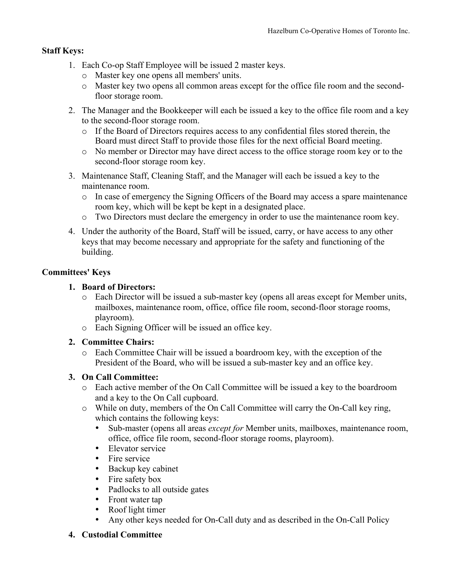# **Staff Keys:**

- 1. Each Co-op Staff Employee will be issued 2 master keys.
	- o Master key one opens all members' units.
	- o Master key two opens all common areas except for the office file room and the secondfloor storage room.
- 2. The Manager and the Bookkeeper will each be issued a key to the office file room and a key to the second-floor storage room.
	- o If the Board of Directors requires access to any confidential files stored therein, the Board must direct Staff to provide those files for the next official Board meeting.
	- o No member or Director may have direct access to the office storage room key or to the second-floor storage room key.
- 3. Maintenance Staff, Cleaning Staff, and the Manager will each be issued a key to the maintenance room.
	- o In case of emergency the Signing Officers of the Board may access a spare maintenance room key, which will be kept be kept in a designated place.
	- o Two Directors must declare the emergency in order to use the maintenance room key.
- 4. Under the authority of the Board, Staff will be issued, carry, or have access to any other keys that may become necessary and appropriate for the safety and functioning of the building.

## **Committees' Keys**

## **1. Board of Directors:**

- o Each Director will be issued a sub-master key (opens all areas except for Member units, mailboxes, maintenance room, office, office file room, second-floor storage rooms, playroom).
- o Each Signing Officer will be issued an office key.

## **2. Committee Chairs:**

o Each Committee Chair will be issued a boardroom key, with the exception of the President of the Board, who will be issued a sub-master key and an office key.

## **3. On Call Committee:**

- o Each active member of the On Call Committee will be issued a key to the boardroom and a key to the On Call cupboard.
- o While on duty, members of the On Call Committee will carry the On-Call key ring, which contains the following keys:
	- Sub-master (opens all areas *except for* Member units, mailboxes, maintenance room, office, office file room, second-floor storage rooms, playroom).
	- Elevator service
	- Fire service
	- Backup key cabinet
	- Fire safety box
	- Padlocks to all outside gates
	- Front water tap
	- Roof light timer
	- Any other keys needed for On-Call duty and as described in the On-Call Policy

## **4. Custodial Committee**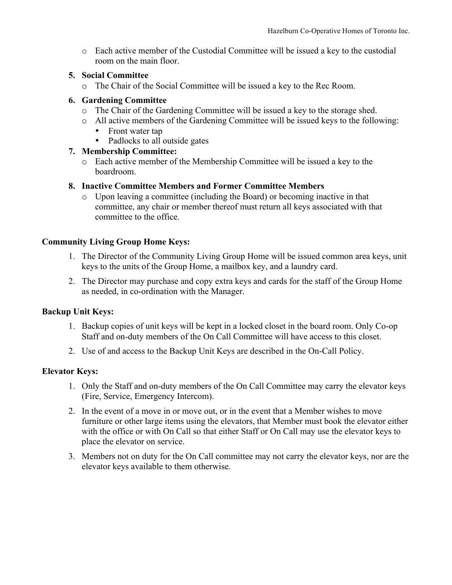o Each active member of the Custodial Committee will be issued a key to the custodial room on the main floor.

## **5. Social Committee**

o The Chair of the Social Committee will be issued a key to the Rec Room.

#### **6. Gardening Committee**

- o The Chair of the Gardening Committee will be issued a key to the storage shed.
- o All active members of the Gardening Committee will be issued keys to the following:
	- Front water tap
	- Padlocks to all outside gates

#### **7. Membership Committee:**

o Each active member of the Membership Committee will be issued a key to the boardroom.

#### **8. Inactive Committee Members and Former Committee Members**

o Upon leaving a committee (including the Board) or becoming inactive in that committee, any chair or member thereof must return all keys associated with that committee to the office.

## **Community Living Group Home Keys:**

- 1. The Director of the Community Living Group Home will be issued common area keys, unit keys to the units of the Group Home, a mailbox key, and a laundry card.
- 2. The Director may purchase and copy extra keys and cards for the staff of the Group Home as needed, in co-ordination with the Manager.

#### **Backup Unit Keys:**

- 1. Backup copies of unit keys will be kept in a locked closet in the board room. Only Co-op Staff and on-duty members of the On Call Committee will have access to this closet.
- 2. Use of and access to the Backup Unit Keys are described in the On-Call Policy.

#### **Elevator Keys:**

- 1. Only the Staff and on-duty members of the On Call Committee may carry the elevator keys (Fire, Service, Emergency Intercom).
- 2. In the event of a move in or move out, or in the event that a Member wishes to move furniture or other large items using the elevators, that Member must book the elevator either with the office or with On Call so that either Staff or On Call may use the elevator keys to place the elevator on service.
- 3. Members not on duty for the On Call committee may not carry the elevator keys, nor are the elevator keys available to them otherwise.